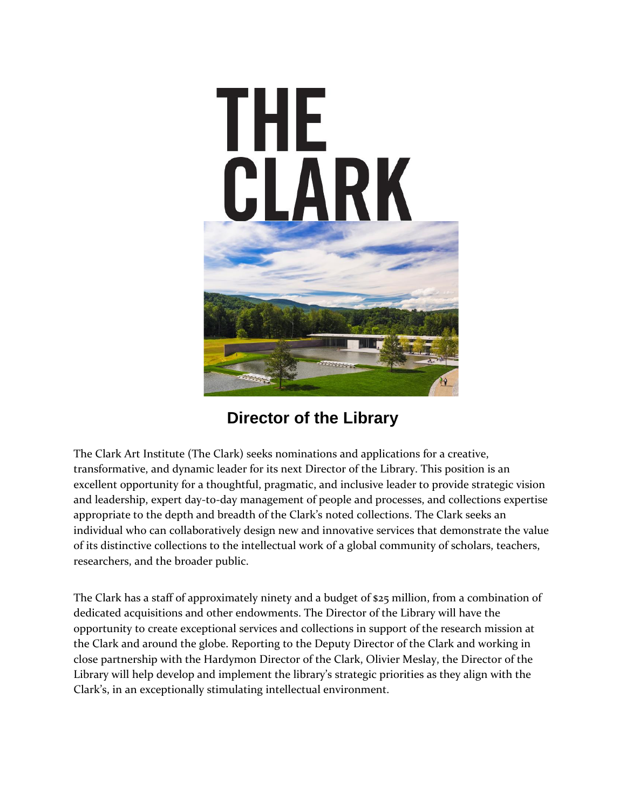

**Director of the Library**

The Clark Art Institute (The Clark) seeks nominations and applications for a creative, transformative, and dynamic leader for its next Director of the Library. This position is an excellent opportunity for a thoughtful, pragmatic, and inclusive leader to provide strategic vision and leadership, expert day-to-day management of people and processes, and collections expertise appropriate to the depth and breadth of the Clark's noted collections. The Clark seeks an individual who can collaboratively design new and innovative services that demonstrate the value of its distinctive collections to the intellectual work of a global community of scholars, teachers, researchers, and the broader public.

The Clark has a staff of approximately ninety and a budget of \$25 million, from a combination of dedicated acquisitions and other endowments. The Director of the Library will have the opportunity to create exceptional services and collections in support of the research mission at the Clark and around the globe. Reporting to the Deputy Director of the Clark and working in close partnership with the Hardymon Director of the Clark, Olivier Meslay, the Director of the Library will help develop and implement the library's strategic priorities as they align with the Clark's, in an exceptionally stimulating intellectual environment.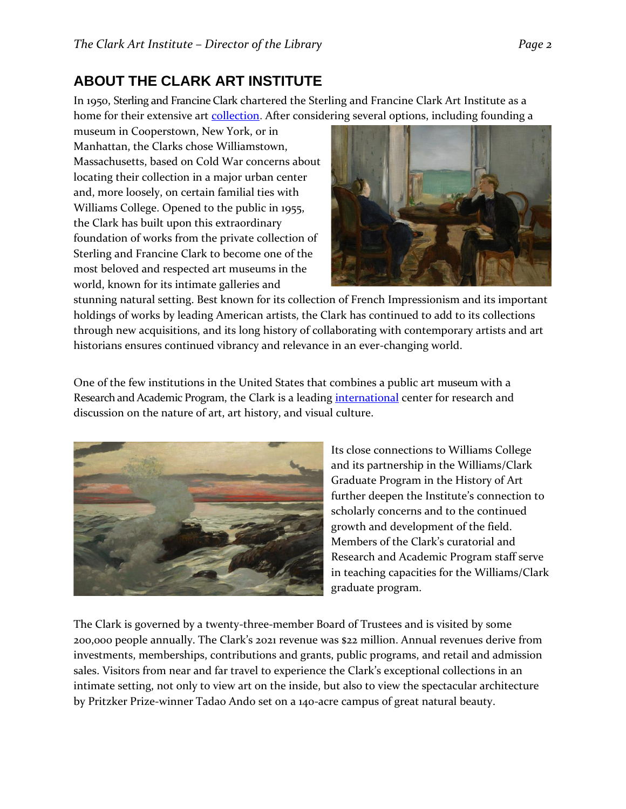### **ABOUT THE CLARK ART INSTITUTE**

In 1950, Sterling and Francine Clark chartered the Sterling and Francine Clark Art Institute as a home for their extensive art [collection.](https://www.clarkart.edu/Museum/Collections/Collections-Overview) After considering several options, including founding a

museum in Cooperstown, New York, or in Manhattan, the Clarks chose Williamstown, Massachusetts, based on Cold War concerns about locating their collection in a major urban center and, more loosely, on certain familial ties with Williams College. Opened to the public in 1955, the Clark has built upon this extraordinary foundation of works from the private collection of Sterling and Francine Clark to become one of the most beloved and respected art museums in the world, known for its intimate galleries and



stunning natural setting. Best known for its collection of French Impressionism and its important holdings of works by leading American artists, the Clark has continued to add to its collections through new acquisitions, and its long history of collaborating with contemporary artists and art historians ensures continued vibrancy and relevance in an ever-changing world.

One of the few institutions in the United States that combines a public art museum with a Research and Academic Program, the Clark is a leading [international](https://www.clarkart.edu/About/Global-Initiatives) center for research and discussion on the nature of art, art history, and visual culture.



Its close connections to Williams College and its partnership in the Williams/Clark Graduate Program in the History of Art further deepen the Institute's connection to scholarly concerns and to the continued growth and development of the field. Members of the Clark's curatorial and Research and Academic Program staff serve in teaching capacities for the Williams/Clark graduate program.

The Clark is governed by a twenty-three-member Board of Trustees and is visited by some 200,000 people annually. The Clark's 2021 revenue was \$22 million. Annual revenues derive from investments, memberships, contributions and grants, public programs, and retail and admission sales. Visitors from near and far travel to experience the Clark's exceptional collections in an intimate setting, not only to view art on the inside, but also to view the spectacular architecture by Pritzker Prize-winner Tadao Ando set on a 140-acre campus of great natural beauty.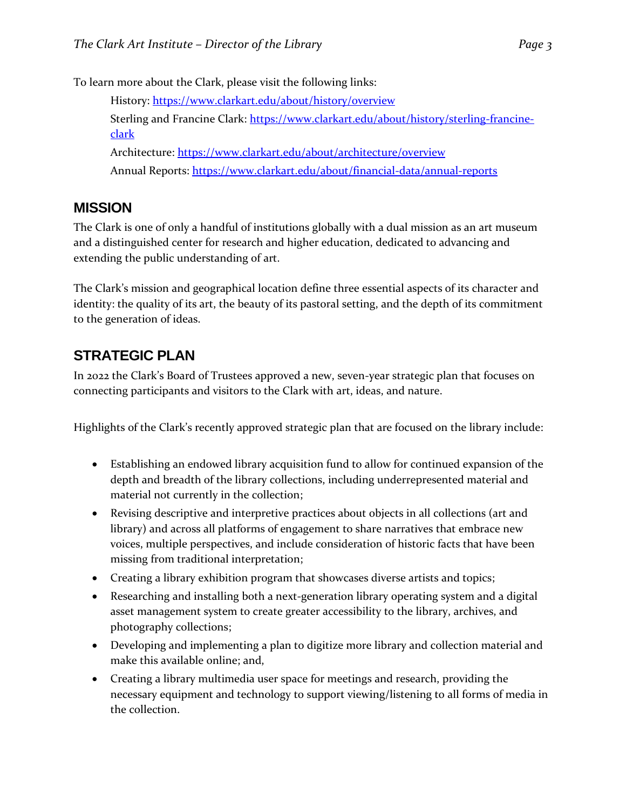To learn more about the Clark, please visit the following links:

History: <https://www.clarkart.edu/about/history/overview> Sterling and Francine Clark: [https://www.clarkart.edu/about/history/sterling-francine](https://www.clarkart.edu/about/history/sterling-francine-clark)[clark](https://www.clarkart.edu/about/history/sterling-francine-clark) Architecture: <https://www.clarkart.edu/about/architecture/overview> Annual Reports:<https://www.clarkart.edu/about/financial-data/annual-reports>

#### **MISSION**

The Clark is one of only a handful of institutions globally with a dual mission as an art museum and a distinguished center for research and higher education, dedicated to advancing and extending the public understanding of art.

The Clark's mission and geographical location define three essential aspects of its character and identity: the quality of its art, the beauty of its pastoral setting, and the depth of its commitment to the generation of ideas.

# **STRATEGIC PLAN**

In 2022 the Clark's Board of Trustees approved a new, seven-year strategic plan that focuses on connecting participants and visitors to the Clark with art, ideas, and nature.

Highlights of the Clark's recently approved strategic plan that are focused on the library include:

- Establishing an endowed library acquisition fund to allow for continued expansion of the depth and breadth of the library collections, including underrepresented material and material not currently in the collection;
- Revising descriptive and interpretive practices about objects in all collections (art and library) and across all platforms of engagement to share narratives that embrace new voices, multiple perspectives, and include consideration of historic facts that have been missing from traditional interpretation;
- Creating a library exhibition program that showcases diverse artists and topics;
- Researching and installing both a next-generation library operating system and a digital asset management system to create greater accessibility to the library, archives, and photography collections;
- Developing and implementing a plan to digitize more library and collection material and make this available online; and,
- Creating a library multimedia user space for meetings and research, providing the necessary equipment and technology to support viewing/listening to all forms of media in the collection.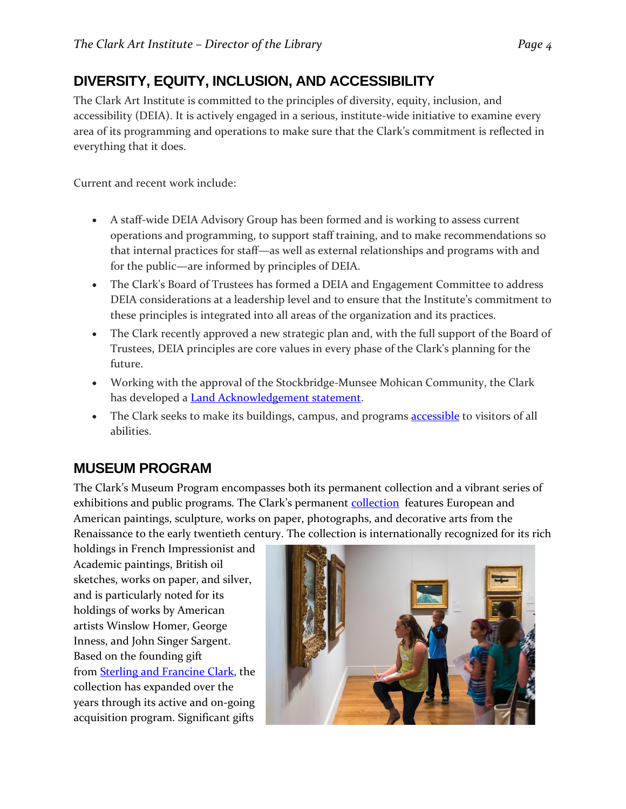# **DIVERSITY, EQUITY, INCLUSION, AND ACCESSIBILITY**

The Clark Art Institute is committed to the principles of diversity, equity, inclusion, and accessibility (DEIA). It is actively engaged in a serious, institute-wide initiative to examine every area of its programming and operations to make sure that the Clark's commitment is reflected in everything that it does.

Current and recent work include:

- A staff-wide DEIA Advisory Group has been formed and is working to assess current operations and programming, to support staff training, and to make recommendations so that internal practices for staff—as well as external relationships and programs with and for the public—are informed by principles of DEIA.
- The Clark's Board of Trustees has formed a DEIA and Engagement Committee to address DEIA considerations at a leadership level and to ensure that the Institute's commitment to these principles is integrated into all areas of the organization and its practices.
- The Clark recently approved a new strategic plan and, with the full support of the Board of Trustees, DEIA principles are core values in every phase of the Clark's planning for the future.
- Working with the approval of the Stockbridge*-*Munsee Mohican Community, the Clark has developed a **Land Acknowledgement statement**.
- The Clark seeks to make its buildings, campus, and programs **[accessible](https://www.clarkart.edu/visit/plan-your-visit/plan-your-visit)** to visitors of all abilities.

#### **MUSEUM PROGRAM**

The Clark's Museum Program encompasses both its permanent collection and a vibrant series of exhibitions and public programs. The Clark's permanent **collection** features European and American paintings, sculpture, works on paper, photographs, and decorative arts from the Renaissance to the early twentieth century. The collection is internationally recognized for its rich

holdings in French Impressionist and Academic paintings, British oil sketches, works on paper, and silver, and is particularly noted for its holdings of works by American artists Winslow Homer, George Inness, and John Singer Sargent. Based on the founding gift from [Sterling and Francine Clark,](https://www.clarkart.edu/About/History/Sterling-Francine-Clark) the collection has expanded over the years through its active and on-going acquisition program. Significant gifts

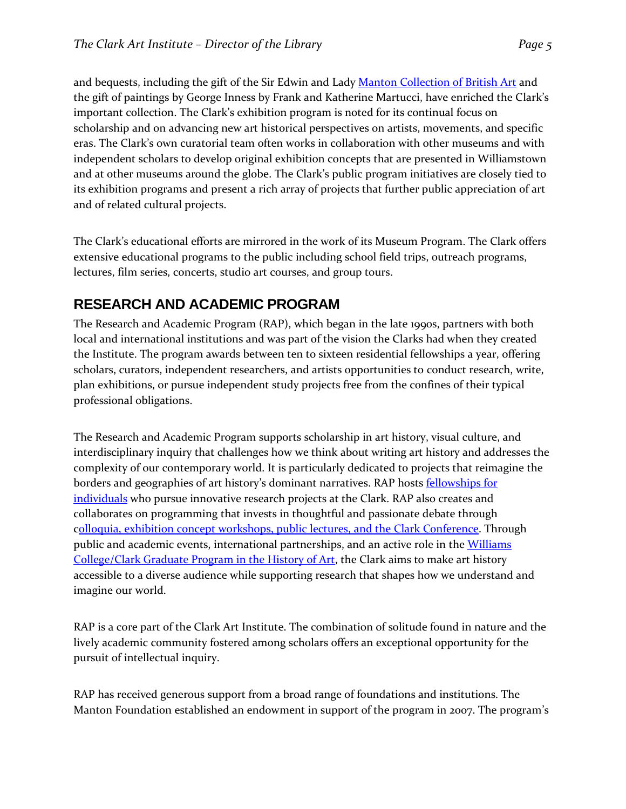and bequests, including the gift of the Sir Edwin and Lady [Manton Collection of British Art](https://www.clarkart.edu/museum/collections/browse-collections#/?collectionIds=1093) and the gift of paintings by George Inness by Frank and Katherine Martucci, have enriched the Clark's important collection. The Clark's exhibition program is noted for its continual focus on scholarship and on advancing new art historical perspectives on artists, movements, and specific eras. The Clark's own curatorial team often works in collaboration with other museums and with independent scholars to develop original exhibition concepts that are presented in Williamstown and at other museums around the globe. The Clark's public program initiatives are closely tied to its exhibition programs and present a rich array of projects that further public appreciation of art and of related cultural projects.

The Clark's educational efforts are mirrored in the work of its Museum Program. The Clark offers extensive educational programs to the public including school field trips, outreach programs, lectures, film series, concerts, studio art courses, and group tours.

#### **RESEARCH AND ACADEMIC PROGRAM**

The Research and Academic Program (RAP), which began in the late 1990s, partners with both local and international institutions and was part of the vision the Clarks had when they created the Institute. The program awards between ten to sixteen residential fellowships a year, offering scholars, curators, independent researchers, and artists opportunities to conduct research, write, plan exhibitions, or pursue independent study projects free from the confines of their typical professional obligations.

The Research and Academic Program supports scholarship in art history, visual culture, and interdisciplinary inquiry that challenges how we think about writing art history and addresses the complexity of our contemporary world. It is particularly dedicated to projects that reimagine the borders and geographies of art history's dominant narratives. RAP hosts fellowships for individuals who pursue innovative research projects at the Clark. RAP also creates and collaborates on programming that invests in thoughtful and passionate debate through colloquia, [exhibition concept workshops, public lectures, and the](https://www.clarkart.edu/Research-Academic/RAP-Events/RAP-Events) Clark Conference. Through public and academic events, international partnerships, and an active role in the [Williams](https://www.clarkart.edu/Research-Academic/Graduate-Program)  [College/Clark Graduate Program in the History of Art,](https://www.clarkart.edu/Research-Academic/Graduate-Program) the Clark aims to make art history accessible to a diverse audience while supporting research that shapes how we understand and imagine our world.

RAP is a core part of the Clark Art Institute. The combination of solitude found in nature and the lively academic community fostered among scholars offers an exceptional opportunity for the pursuit of intellectual inquiry.

RAP has received generous support from a broad range of foundations and institutions. The Manton Foundation established an endowment in support of the program in 2007. The program's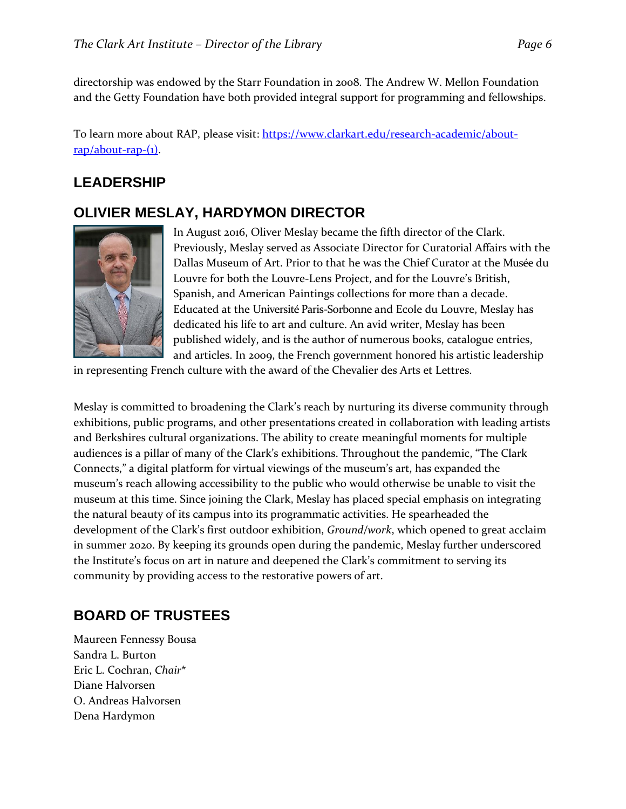directorship was endowed by the Starr Foundation in 2008. The Andrew W. Mellon Foundation and the Getty Foundation have both provided integral support for programming and fellowships.

To learn more about RAP, please visit: [https://www.clarkart.edu/research-academic/about](https://www.clarkart.edu/research-academic/about-rap/about-rap-(1)) $rap/about-rap-(1)$ .

### **LEADERSHIP**

#### **OLIVIER MESLAY, HARDYMON DIRECTOR**



In August 2016, Oliver Meslay became the fifth director of the Clark. Previously, Meslay served as Associate Director for Curatorial Affairs with the Dallas Museum of Art. Prior to that he was the Chief Curator at the Musée du Louvre for both the Louvre-Lens Project, and for the Louvre's British, Spanish, and American Paintings collections for more than a decade. Educated at the Université Paris-Sorbonne and Ecole du Louvre, Meslay has dedicated his life to art and culture. An avid writer, Meslay has been published widely, and is the author of numerous books, catalogue entries, and articles. In 2009, the French government honored his artistic leadership

in representing French culture with the award of the Chevalier des Arts et Lettres.

Meslay is committed to broadening the Clark's reach by nurturing its diverse community through exhibitions, public programs, and other presentations created in collaboration with leading artists and Berkshires cultural organizations. The ability to create meaningful moments for multiple audiences is a pillar of many of the Clark's exhibitions. Throughout the pandemic, "The Clark Connects," a digital platform for virtual viewings of the museum's art, has expanded the museum's reach allowing accessibility to the public who would otherwise be unable to visit the museum at this time. Since joining the Clark, Meslay has placed special emphasis on integrating the natural beauty of its campus into its programmatic activities. He spearheaded the development of the Clark's first outdoor exhibition, *Ground/work*, which opened to great acclaim in summer 2020. By keeping its grounds open during the pandemic, Meslay further underscored the Institute's focus on art in nature and deepened the Clark's commitment to serving its community by providing access to the restorative powers of art.

## **BOARD OF TRUSTEES**

Maureen Fennessy Bousa Sandra L. Burton Eric L. Cochran, *Chair*\* Diane Halvorsen O. Andreas Halvorsen Dena Hardymon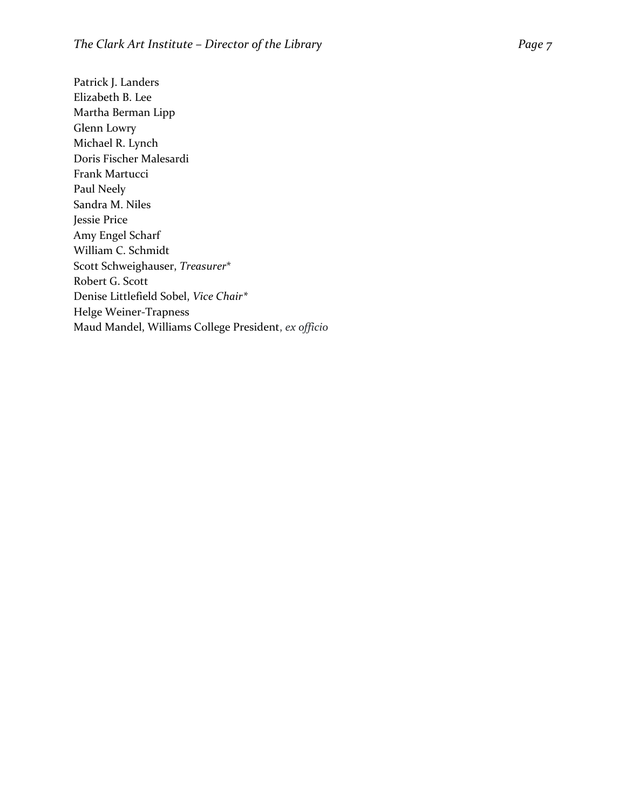Patrick J. Landers Elizabeth B. Lee Martha Berman Lipp Glenn Lowry Michael R. Lynch Doris Fischer Malesardi Frank Martucci Paul Neely Sandra M. Niles Jessie Price Amy Engel Scharf William C. Schmidt Scott Schweighauser, *Treasurer* \* Robert G. Scott Denise Littlefield Sobel, *Vice Chair\** Helge Weiner -Trapness Maud Mandel, Williams College President , *ex officio*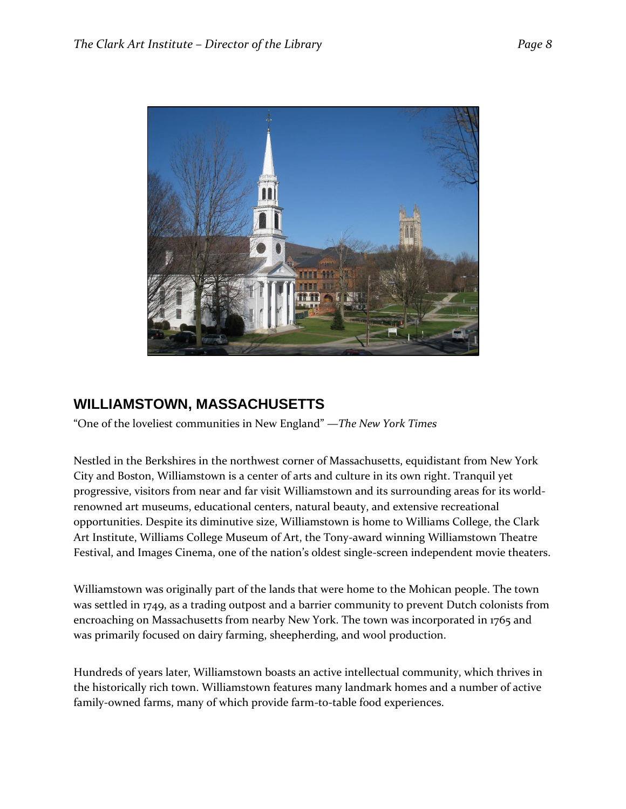

#### **WILLIAMSTOWN, MASSACHUSETTS**

"One of the loveliest communities in New England" —*The New York Times*

Nestled in the Berkshires in the northwest corner of Massachusetts, equidistant from New York City and Boston, Williamstown is a center of arts and culture in its own right. Tranquil yet progressive, visitors from near and far visit Williamstown and its surrounding areas for its worldrenowned art museums, educational centers, natural beauty, and extensive recreational opportunities. Despite its diminutive size, Williamstown is home to Williams College, the Clark Art Institute, Williams College Museum of Art, the Tony-award winning Williamstown Theatre Festival, and Images Cinema, one of the nation's oldest single-screen independent movie theaters.

Williamstown was originally part of the lands that were home to the Mohican people. The town was settled in 1749, as a trading outpost and a barrier community to prevent Dutch colonists from encroaching on Massachusetts from nearby New York. The town was incorporated in 1765 and was primarily focused on dairy farming, sheepherding, and wool production.

Hundreds of years later, Williamstown boasts an active intellectual community, which thrives in the historically rich town. Williamstown features many landmark homes and a number of active family-owned farms, many of which provide farm-to-table food experiences.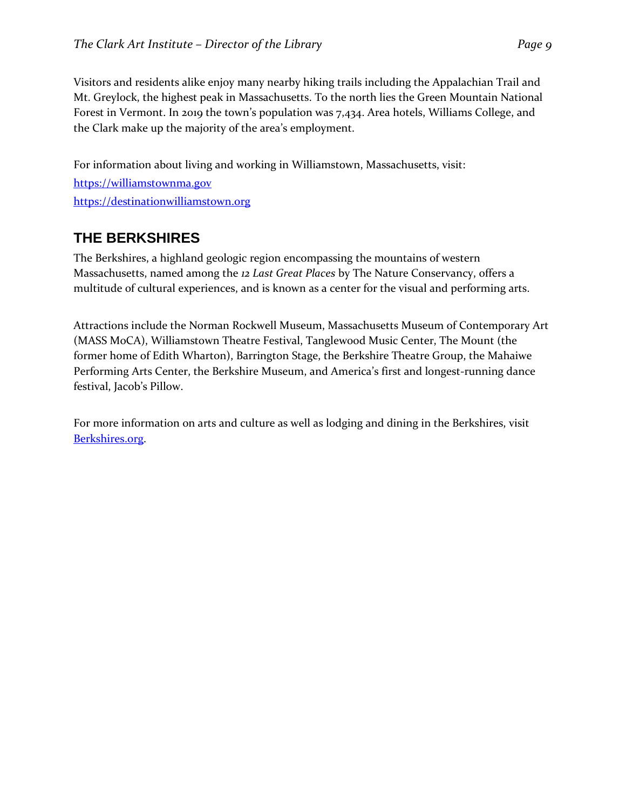Visitors and residents alike enjoy many nearby hiking trails including the Appalachian Trail and Mt. Greylock, the highest peak in Massachusetts. To the north lies the Green Mountain National Forest in Vermont. In 2019 the town's population was 7,434. Area hotels, Williams College, and the Clark make up the majority of the area's employment.

For information about living and working in Williamstown, Massachusetts, visit: [https://williamstownma.gov](https://williamstownma.gov/) [https://destinationwilliamstown.org](https://destinationwilliamstown.org/)

### **THE BERKSHIRES**

The Berkshires, a highland geologic region encompassing the mountains of western Massachusetts, named among the *12 Last Great Places* by The Nature Conservancy, offers a multitude of cultural experiences, and is known as a center for the visual and performing arts.

Attractions include the Norman Rockwell Museum, Massachusetts Museum of Contemporary Art (MASS MoCA), Williamstown Theatre Festival, Tanglewood Music Center, The Mount (the former home of Edith Wharton), Barrington Stage, the Berkshire Theatre Group, the Mahaiwe Performing Arts Center, the Berkshire Museum, and America's first and longest-running dance festival, Jacob's Pillow.

For more information on arts and culture as well as lodging and dining in the Berkshires, visit [Berkshires.org.](http://berkshires.org/)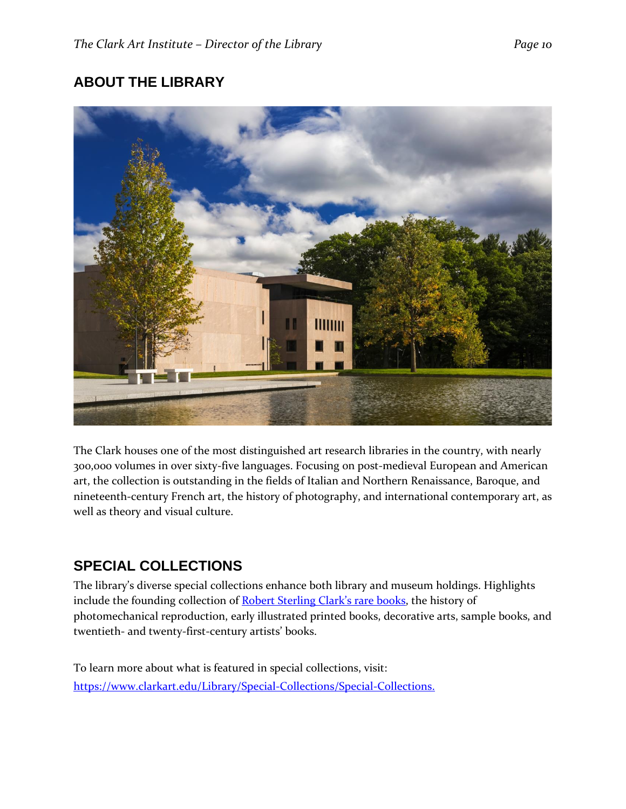# **ABOUT THE LIBRARY**



The Clark houses one of the most distinguished art research libraries in the country, with nearly 300,000 volumes in over sixty-five languages. Focusing on post-medieval European and American art, the collection is outstanding in the fields of Italian and Northern Renaissance, Baroque, and nineteenth-century French art, the history of photography, and international contemporary art, as well as theory and visual culture.

## **SPECIAL COLLECTIONS**

The library's diverse special collections enhance both library and museum holdings. Highlights include the founding collection of [Robert Sterling Clark's rare books](https://www.clarkart.edu/Library/Special-Collections/Robert-Sterling-Clark-Collection), the history of photomechanical reproduction, early illustrated printed books, decorative arts, sample books, and twentieth- and twenty-first-century artists' books.

To learn more about what is featured in special collections, visit: [https://www.clarkart.edu/Library/Special-Collections/Special-Collections.](https://www.clarkart.edu/Library/Special-Collections/Special-Collections)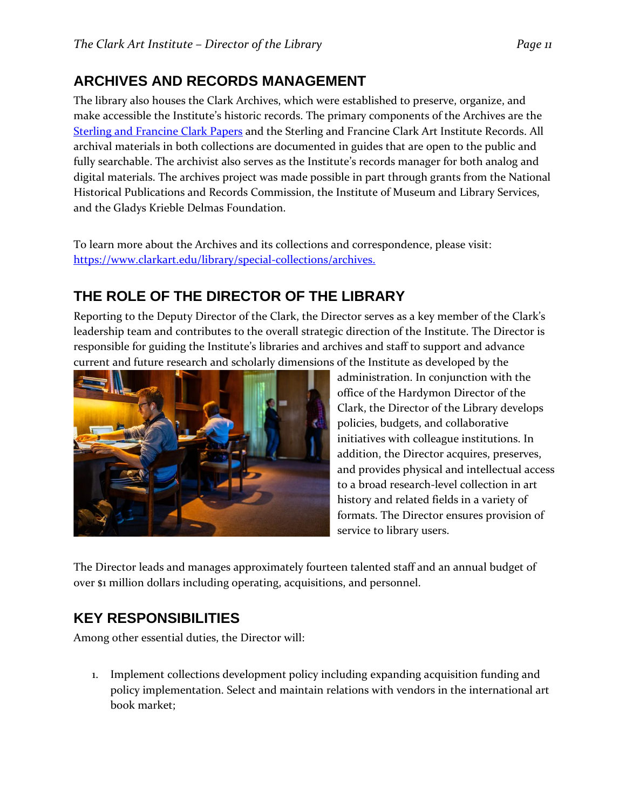# **ARCHIVES AND RECORDS MANAGEMENT**

The library also houses the Clark Archives, which were established to preserve, organize, and make accessible the Institute's historic records. The primary components of the Archives are the [Sterling and Francine Clark Papers](https://digital.clarkart.edu/digital/collection/p15001coll3) and the [Sterling and Francine Clark Art Institute Records.](https://digital.clarkart.edu/digital/collection/p15001coll2) All archival materials in both collections are documented in guides that are open to the public and fully searchable. The archivist also serves as the Institute's records manager for both analog and digital materials. The archives project was made possible in part through grants from the National Historical Publications and Records Commission, the Institute of Museum and Library Services, and the Gladys Krieble Delmas Foundation.

To learn more about the Archives and its collections and correspondence, please visit: [https://www.clarkart.edu/library/special-collections/archives.](https://www.clarkart.edu/library/special-collections/archives)

# **THE ROLE OF THE DIRECTOR OF THE LIBRARY**

Reporting to the Deputy Director of the Clark, the Director serves as a key member of the Clark's leadership team and contributes to the overall strategic direction of the Institute. The Director is responsible for guiding the Institute's libraries and archives and staff to support and advance current and future research and scholarly dimensions of the Institute as developed by the



administration. In conjunction with the office of the Hardymon Director of the Clark, the Director of the Library develops policies, budgets, and collaborative initiatives with colleague institutions. In addition, the Director acquires, preserves, and provides physical and intellectual access to a broad research-level collection in art history and related fields in a variety of formats. The Director ensures provision of service to library users.

The Director leads and manages approximately fourteen talented staff and an annual budget of over \$1 million dollars including operating, acquisitions, and personnel.

## **KEY RESPONSIBILITIES**

Among other essential duties, the Director will:

1. Implement collections development policy including expanding acquisition funding and policy implementation. Select and maintain relations with vendors in the international art book market;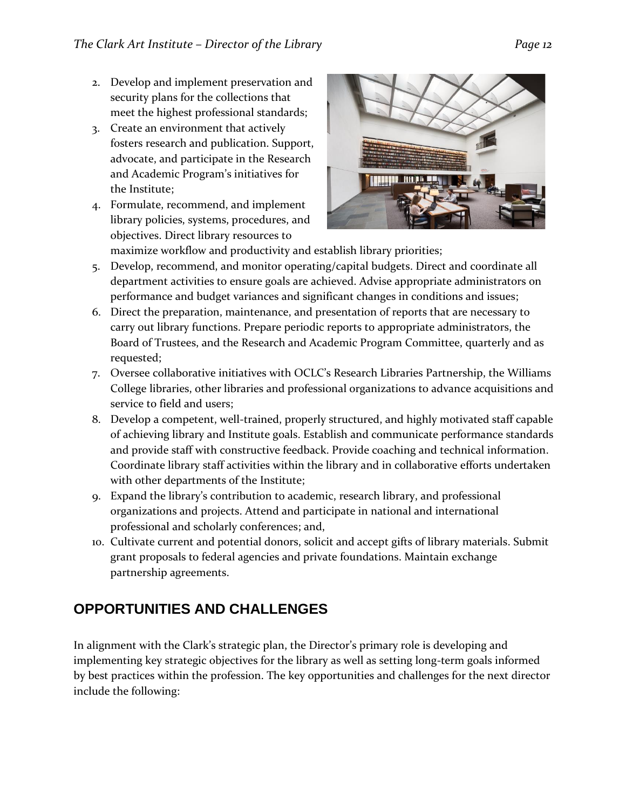- 2. Develop and implement preservation and security plans for the collections that meet the highest professional standards;
- 3. Create an environment that actively fosters research and publication. Support, advocate, and participate in the Research and Academic Program's initiatives for the Institute;
- 4. Formulate, recommend, and implement library policies, systems, procedures, and objectives. Direct library resources to



- maximize workflow and productivity and establish library priorities;
- 5. Develop, recommend, and monitor operating/capital budgets. Direct and coordinate all department activities to ensure goals are achieved. Advise appropriate administrators on performance and budget variances and significant changes in conditions and issues;
- 6. Direct the preparation, maintenance, and presentation of reports that are necessary to carry out library functions. Prepare periodic reports to appropriate administrators, the Board of Trustees, and the Research and Academic Program Committee, quarterly and as requested;
- 7. Oversee collaborative initiatives with OCLC's Research Libraries Partnership, the Williams College libraries, other libraries and professional organizations to advance acquisitions and service to field and users;
- 8. Develop a competent, well-trained, properly structured, and highly motivated staff capable of achieving library and Institute goals. Establish and communicate performance standards and provide staff with constructive feedback. Provide coaching and technical information. Coordinate library staff activities within the library and in collaborative efforts undertaken with other departments of the Institute;
- 9. Expand the library's contribution to academic, research library, and professional organizations and projects. Attend and participate in national and international professional and scholarly conferences; and,
- 10. Cultivate current and potential donors, solicit and accept gifts of library materials. Submit grant proposals to federal agencies and private foundations. Maintain exchange partnership agreements.

## **OPPORTUNITIES AND CHALLENGES**

In alignment with the Clark's strategic plan, the Director's primary role is developing and implementing key strategic objectives for the library as well as setting long-term goals informed by best practices within the profession. The key opportunities and challenges for the next director include the following: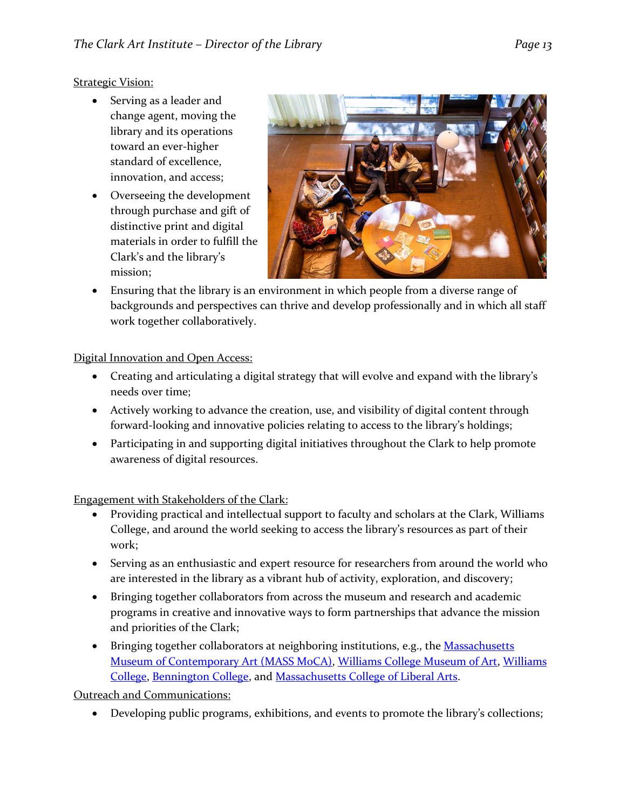#### **Strategic Vision:**

- Serving as a leader and change agent, moving the library and its operations toward an ever-higher standard of excellence, innovation, and access;
- Overseeing the development through purchase and gift of distinctive print and digital materials in order to fulfill the Clark's and the library's mission;



• Ensuring that the library is an environment in which people from a diverse range of backgrounds and perspectives can thrive and develop professionally and in which all staff work together collaboratively.

Digital Innovation and Open Access:

- Creating and articulating a digital strategy that will evolve and expand with the library's needs over time;
- Actively working to advance the creation, use, and visibility of digital content through forward-looking and innovative policies relating to access to the library's holdings;
- Participating in and supporting digital initiatives throughout the Clark to help promote awareness of digital resources.

Engagement with Stakeholders of the Clark:

- Providing practical and intellectual support to faculty and scholars at the Clark, Williams College, and around the world seeking to access the library's resources as part of their work;
- Serving as an enthusiastic and expert resource for researchers from around the world who are interested in the library as a vibrant hub of activity, exploration, and discovery;
- Bringing together collaborators from across the museum and research and academic programs in creative and innovative ways to form partnerships that advance the mission and priorities of the Clark;
- Bringing together collaborators at neighboring institutions, e.g., the Massachusetts [Museum of Contemporary Art \(MASS MoCA\),](https://massmoca.org/) [Williams College Museum of Art,](https://artmuseum.williams.edu/) [Williams](http://www.williams.edu/)  [College,](http://www.williams.edu/) [Bennington College,](http://www.bennington.edu/) and [Massachusetts College of Liberal Arts.](https://www.mcla.edu/)

Outreach and Communications:

• Developing public programs, exhibitions, and events to promote the library's collections;